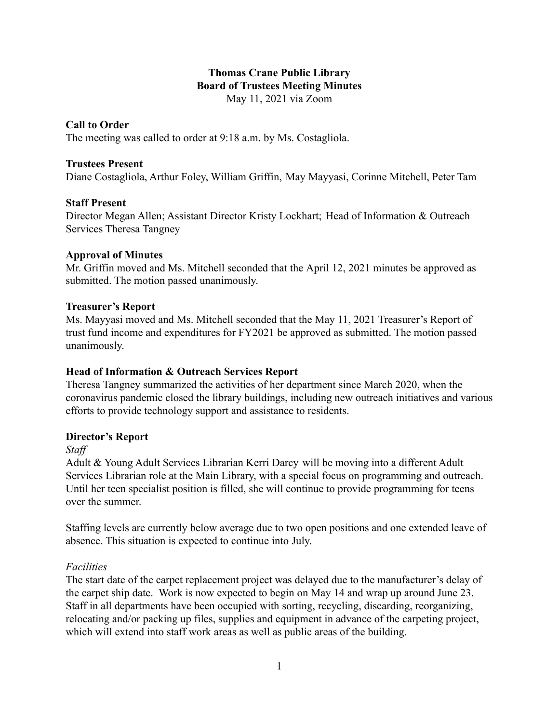## **Thomas Crane Public Library Board of Trustees Meeting Minutes** May 11, 2021 via Zoom

#### **Call to Order**

The meeting was called to order at 9:18 a.m. by Ms. Costagliola.

#### **Trustees Present**

Diane Costagliola, Arthur Foley, William Griffin, May Mayyasi, Corinne Mitchell, Peter Tam

### **Staff Present**

Director Megan Allen; Assistant Director Kristy Lockhart; Head of Information & Outreach Services Theresa Tangney

#### **Approval of Minutes**

Mr. Griffin moved and Ms. Mitchell seconded that the April 12, 2021 minutes be approved as submitted. The motion passed unanimously.

#### **Treasurer's Report**

Ms. Mayyasi moved and Ms. Mitchell seconded that the May 11, 2021 Treasurer's Report of trust fund income and expenditures for FY2021 be approved as submitted. The motion passed unanimously.

### **Head of Information & Outreach Services Report**

Theresa Tangney summarized the activities of her department since March 2020, when the coronavirus pandemic closed the library buildings, including new outreach initiatives and various efforts to provide technology support and assistance to residents.

### **Director's Report**

*Staff*

Adult & Young Adult Services Librarian Kerri Darcy will be moving into a different Adult Services Librarian role at the Main Library, with a special focus on programming and outreach. Until her teen specialist position is filled, she will continue to provide programming for teens over the summer.

Staffing levels are currently below average due to two open positions and one extended leave of absence. This situation is expected to continue into July.

#### *Facilities*

The start date of the carpet replacement project was delayed due to the manufacturer's delay of the carpet ship date. Work is now expected to begin on May 14 and wrap up around June 23. Staff in all departments have been occupied with sorting, recycling, discarding, reorganizing, relocating and/or packing up files, supplies and equipment in advance of the carpeting project, which will extend into staff work areas as well as public areas of the building.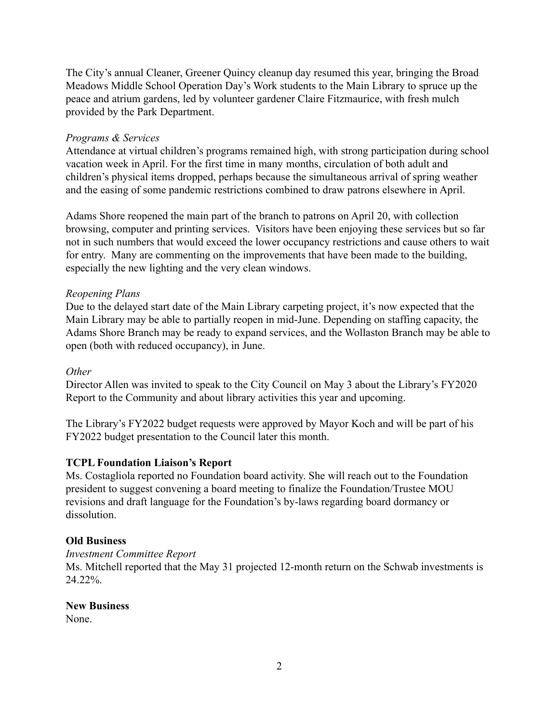The City's annual Cleaner, Greener Quincy cleanup day resumed this year, bringing the Broad Meadows Middle School Operation Day's Work students to the Main Library to spruce up the peace and atrium gardens, led by volunteer gardener Claire Fitzmaurice, with fresh mulch provided by the Park Department.

## *Programs & Services*

Attendance at virtual children's programs remained high, with strong participation during school vacation week in April. For the first time in many months, circulation of both adult and children's physical items dropped, perhaps because the simultaneous arrival of spring weather and the easing of some pandemic restrictions combined to draw patrons elsewhere in April.

Adams Shore reopened the main part of the branch to patrons on April 20, with collection browsing, computer and printing services. Visitors have been enjoying these services but so far not in such numbers that would exceed the lower occupancy restrictions and cause others to wait for entry. Many are commenting on the improvements that have been made to the building, especially the new lighting and the very clean windows.

## *Reopening Plans*

Due to the delayed start date of the Main Library carpeting project, it's now expected that the Main Library may be able to partially reopen in mid-June. Depending on staffing capacity, the Adams Shore Branch may be ready to expand services, and the Wollaston Branch may be able to open (both with reduced occupancy), in June.

### *Other*

Director Allen was invited to speak to the City Council on May 3 about the Library's FY2020 Report to the Community and about library activities this year and upcoming.

The Library's FY2022 budget requests were approved by Mayor Koch and will be part of his FY2022 budget presentation to the Council later this month.

# **TCPL Foundation Liaison's Report**

Ms. Costagliola reported no Foundation board activity. She will reach out to the Foundation president to suggest convening a board meeting to finalize the Foundation/Trustee MOU revisions and draft language for the Foundation's by-laws regarding board dormancy or dissolution.

# **Old Business**

*Investment Committee Report*

Ms. Mitchell reported that the May 31 projected 12-month return on the Schwab investments is 24.22%.

### **New Business**

None.